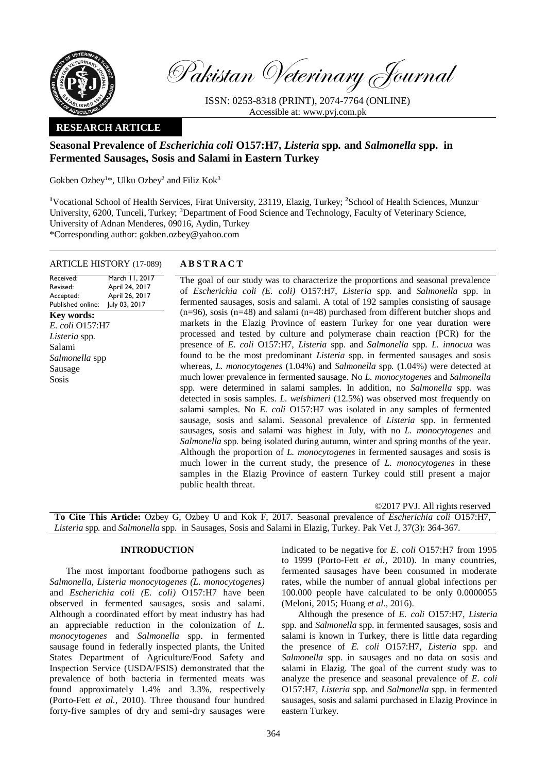

Pakistan Veterinary Journal

ISSN: 0253-8318 (PRINT), 2074-7764 (ONLINE) Accessible at: [www.pvj.com.pk](http://www.pvj.com.pk/)

# **RESEARCH ARTICLE**

# **Seasonal Prevalence of** *Escherichia coli* **O157:H7,** *Listeria* **spp***.* **and** *Salmonella* **spp. in Fermented Sausages, Sosis and Salami in Eastern Turkey**

Gokben Ozbey<sup>1\*</sup>, Ulku Ozbey<sup>2</sup> and Filiz Kok<sup>3</sup>

**<sup>1</sup>**Vocational School of Health Services, Firat University, 23119, Elazig, Turkey; **<sup>2</sup>**School of Health Sciences, Munzur University, 6200, Tunceli, Turkey; <sup>3</sup>Department of Food Science and Technology, Faculty of Veterinary Science, University of Adnan Menderes, 09016, Aydin, Turkey \*Corresponding author: gokben.ozbey@yahoo.com

ARTICLE HISTORY (17-089) **A B S T R A C T**

March 11, 2017 April 24, 2017 April 26, 2017 July 03, 2017

Received: Revised: Accepted: Published online:

**Key words:**  *E. coli* O157:H7 *Listeria* spp*.* Salami

*Salmonella* spp Sausage Sosis

The goal of our study was to characterize the proportions and seasonal prevalence of *Escherichia coli (E. coli)* O157:H7, *Listeria* spp*.* and *Salmonella* spp. in fermented sausages, sosis and salami. A total of 192 samples consisting of sausage (n=96), sosis (n=48) and salami (n=48) purchased from different butcher shops and markets in the Elazig Province of eastern Turkey for one year duration were processed and tested by culture and polymerase chain reaction (PCR) for the presence of *E. coli* O157:H7, *Listeria* spp*.* and *Salmonella* spp. *L. innocua* was found to be the most predominant *Listeria* spp. in fermented sausages and sosis whereas, *L. monocytogenes* (1.04%) and *Salmonella* spp*.* (1.04%) were detected at much lower prevalence in fermented sausage. No *L. monocytogenes* and *Salmonella*  spp*.* were determined in salami samples. In addition, no *Salmonella* spp*.* was detected in sosis samples. *L. welshimeri* (12.5%) was observed most frequently on salami samples. No *E. coli* O157:H7 was isolated in any samples of fermented sausage, sosis and salami. Seasonal prevalence of *Listeria* spp. in fermented sausages, sosis and salami was highest in July, with no *L. monocytogenes* and *Salmonella* spp*.* being isolated during autumn, winter and spring months of the year. Although the proportion of *L. monocytogenes* in fermented sausages and sosis is much lower in the current study, the presence of *L. monocytogenes* in these samples in the Elazig Province of eastern Turkey could still present a major public health threat.

©2017 PVJ. All rights reserved **To Cite This Article:** Ozbey G, Ozbey U and Kok F, 2017. Seasonal prevalence of *Escherichia coli* O157:H7, *Listeria* spp*.* and *Salmonella* spp. in Sausages, Sosis and Salami in Elazig, Turkey. Pak Vet J, 37(3): 364-367.

# **INTRODUCTION**

The most important foodborne pathogens such as *Salmonella, Listeria monocytogenes (L. monocytogenes)* and *Escherichia coli (E. coli)* O157:H7 have been observed in fermented sausages, sosis and salami. Although a coordinated effort by meat industry has had an appreciable reduction in the colonization of *L. monocytogenes* and *Salmonella* spp. in fermented sausage found in federally inspected plants, the United States Department of Agriculture/Food Safety and Inspection Service (USDA/FSIS) demonstrated that the prevalence of both bacteria in fermented meats was found approximately 1.4% and 3.3%, respectively (Porto-Fett *et al.,* 2010). Three thousand four hundred forty-five samples of dry and semi-dry sausages were indicated to be negative for *E. coli* O157:H7 from 1995 to 1999 (Porto-Fett *et al.,* 2010). In many countries, fermented sausages have been consumed in moderate rates, while the number of annual global infections per 100.000 people have calculated to be only 0.0000055 (Meloni, 2015; Huang *et al*., 2016).

Although the presence of *E. coli* O157:H7, *Listeria*  spp*.* and *Salmonella* spp. in fermented sausages, sosis and salami is known in Turkey, there is little data regarding the presence of *E. coli* O157:H7, *Listeria* spp*.* and *Salmonella* spp. in sausages and no data on sosis and salami in Elazig. The goal of the current study was to analyze the presence and seasonal prevalence of *E. coli* O157:H7, *Listeria* spp*.* and *Salmonella* spp. in fermented sausages, sosis and salami purchased in Elazig Province in eastern Turkey.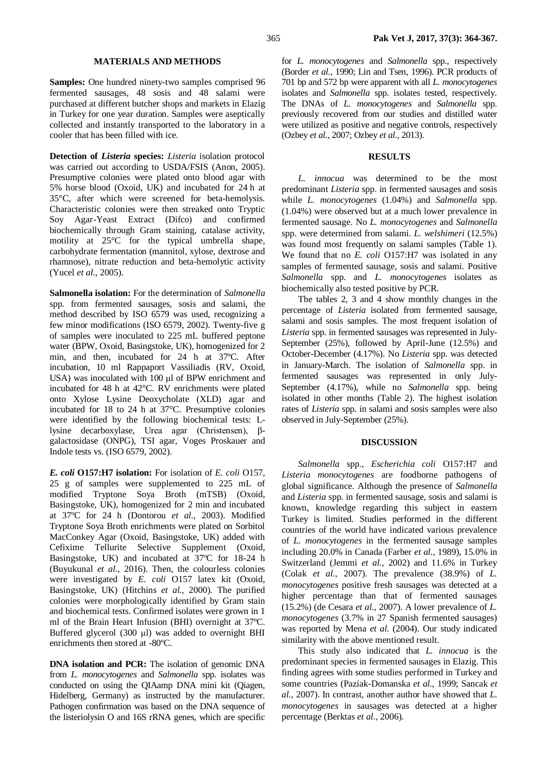### **MATERIALS AND METHODS**

**Samples:** One hundred ninety-two samples comprised 96 fermented sausages, 48 sosis and 48 salami were purchased at different butcher shops and markets in Elazig in Turkey for one year duration. Samples were aseptically collected and instantly transported to the laboratory in a cooler that has been filled with ice.

**Detection of** *Listeria* **species:** *Listeria* isolation protocol was carried out according to USDA/FSIS [\(Anon, 2005\)](http://www.sciencedirect.com/science/article/pii/S0956713510004147#bib22). Presumptive colonies were plated onto blood agar with 5% horse blood (Oxoid, UK) and incubated for 24 h at 35°C, after which were screened for beta-hemolysis. Characteristic colonies were then streaked onto Tryptic Soy Agar-Yeast Extract (Difco) and confirmed biochemically through Gram staining, catalase activity, motility at 25°C for the typical umbrella shape, carbohydrate fermentation (mannitol, xylose, dextrose and rhamnose), nitrate reduction and beta-hemolytic activity (Yucel *et al.*, 2005).

**Salmonella isolation:** For the determination of *Salmonella*  spp. from fermented sausages, sosis and salami, the method described by ISO 6579 was used, recognizing a few minor modifications (ISO 6579, 2002). Twenty-five g of samples were inoculated to 225 mL buffered peptone water (BPW, Oxoid, Basingstoke, UK), homogenized for 2 min, and then, incubated for 24 h at 37ºC. After incubation, 10 ml Rappaport Vassiliadis (RV, Oxoid, USA) was inoculated with 100 μl of BPW enrichment and incubated for 48 h at 42°C. RV enrichments were plated onto Xylose Lysine Deoxycholate (XLD) agar and incubated for 18 to 24 h at 37°C. Presumptive colonies were identified by the following biochemical tests: Llysine decarboxylase, Urea agar (Christensen), βgalactosidase (ONPG), TSI agar, Voges Proskauer and Indole tests vs. (ISO 6579, 2002).

*E. coli* **O157:H7 isolation:** For isolation of *E. coli* O157, 25 g of samples were supplemented to 225 mL of modified Tryptone Soya Broth (mTSB) (Oxoid, Basingstoke, UK), homogenized for 2 min and incubated at 37ºC for 24 h (Dontorou *et al.,* 2003). Modified Tryptone Soya Broth enrichments were plated on Sorbitol MacConkey Agar (Oxoid, Basingstoke, UK) added with Cefixime Tellurite Selective Supplement (Oxoid, Basingstoke, UK) and incubated at 37ºC for 18-24 h (Buyukunal *et al.,* 2016). Then, the colourless colonies were investigated by *E. coli* O157 latex kit (Oxoid, Basingstoke, UK) (Hitchins *et al.,* 2000). The purified colonies were morphologically identified by Gram stain and biochemical tests. Confirmed isolates were grown in 1 ml of the Brain Heart Infusion (BHI) overnight at 37ºC. Buffered glycerol (300 μl) was added to overnight BHI enrichments then stored at -80ºC.

**DNA** isolation and **PCR:** The isolation of genomic DNA from *L. monocytogenes* and *Salmonella* spp. isolates was conducted on using the QIAamp DNA mini kit (Qiagen, Hidelberg, Germany) as instructed by the manufacturer. Pathogen confirmation was based on the DNA sequence of the listeriolysin O and 16S rRNA genes, which are specific

for *L. monocytogenes* and *Salmonella* spp., respectively (Border *et al.,* 1990; Lin and Tsen, 1996). PCR products of 701 bp and 572 bp were apparent with all *L. monocytogenes* isolates and *Salmonella* spp. isolates tested, respectively. The DNAs of *L. monocytogenes* and *Salmonella* spp. previously recovered from our studies and distilled water were utilized as positive and negative controls, respectively (Ozbey *et al.,* 2007; Ozbey *et al.,* 2013).

### **RESULTS**

*L. innocua* was determined to be the most predominant *Listeria* spp. in fermented sausages and sosis while *L. monocytogenes* (1.04%) and *Salmonella* spp. (1.04%) were observed but at a much lower prevalence in fermented sausage. No *L. monocytogenes* and *Salmonella*  spp. were determined from salami. *L. welshimeri* (12.5%) was found most frequently on salami samples (Table 1). We found that no *E. coli* O157:H7 was isolated in any samples of fermented sausage, sosis and salami. Positive *Salmonella* spp. and *L. monocytogenes* isolates as biochemically also tested positive by PCR.

The tables 2, 3 and 4 show monthly changes in the percentage of *Listeria* isolated from fermented sausage, salami and sosis samples. The most frequent isolation of *Listeria* spp. in fermented sausages was represented in July-September (25%), followed by April-June (12.5%) and October-December (4.17%). No *Listeria* spp. was detected in January-March. The isolation of *Salmonella* spp. in fermented sausages was represented in only July-September (4.17%), while no *Salmonella* spp. being isolated in other months (Table 2). The highest isolation rates of *Listeria* spp. in salami and sosis samples were also observed in July-September (25%).

#### **DISCUSSION**

*Salmonella* spp*., Escherichia coli* O157:H7 and *Listeria monocytogenes* are foodborne pathogens of global significance. Although the presence of *Salmonella*  and *Listeria* spp. in fermented sausage, sosis and salami is known, knowledge regarding this subject in eastern Turkey is limited. Studies performed in the different countries of the world have indicated various prevalence of *L. monocytogenes* in the fermented sausage samples including 20.0% in Canada (Farber *et al.,* 1989), 15.0% in Switzerland (Jemmi *et al.,* 2002) and 11.6% in Turkey (Colak *et al.,* 2007). The prevalence (38.9%) of *L. monocytogenes* positive fresh sausages was detected at a higher percentage than that of fermented sausages (15.2%) (de Cesara *et al.,* 2007). A lower prevalence of *L. monocytogenes* (3.7% in 27 Spanish fermented sausages) was reported by Mena *et al.* (2004). Our study indicated similarity with the above mentioned result.

This study also indicated that *L. innocua* is the predominant species in fermented sausages in Elazig. This finding agrees with some studies performed in Turkey and some countries (Paziak-Domanska *et al.,* 1999; Sancak *et al.,* 2007). In contrast, another author have showed that *L. monocytogenes* in sausages was detected at a higher percentage (Berktas *et al.,* 2006).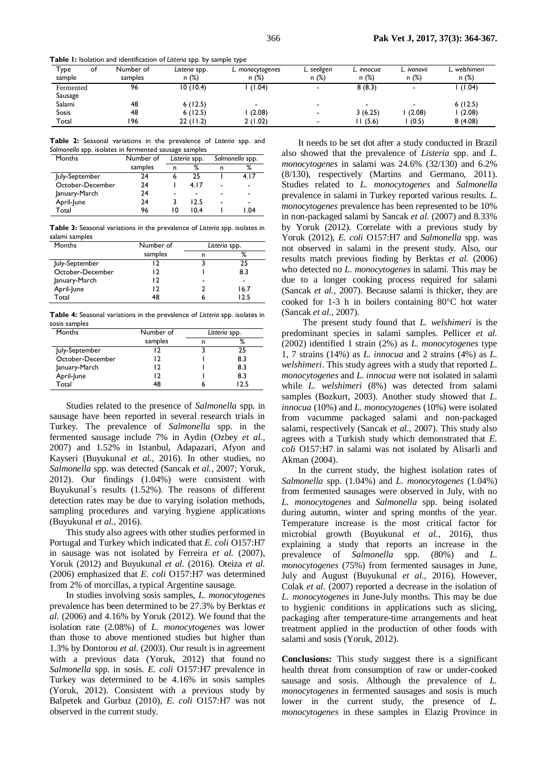**Table 1:** Isolation and identification of *Listeria* spp. by sample type

| Туре<br>sample | оt | Number of<br>samples | Listeria spp.<br>n (%) | L. monocytogenes<br>n (%) | L. seeligeri<br>n(%) | L. innocua<br>n(%) | L. ivanovii<br>n(%) | L. welshimeri<br>n(%) |
|----------------|----|----------------------|------------------------|---------------------------|----------------------|--------------------|---------------------|-----------------------|
|                |    |                      |                        |                           |                      |                    |                     |                       |
| Fermented      |    | 96                   | 10(10.4)               | (1.04)                    |                      | 8(8.3)             |                     | (1.04)                |
| Sausage        |    |                      |                        |                           |                      |                    |                     |                       |
| Salami         |    | 48                   | 6(12.5)                | -                         |                      |                    |                     | 6(12.5)               |
| <b>Sosis</b>   |    | 48                   | 6(12.5)                | (2.08)                    |                      | 3(6.25)            | (2.08)              | (2.08)                |
| Total          |    | 196                  | 22(11.2)               | 2 (1.02)                  | -                    | 1(5.6)             | (0.5)               | 8(4.08)               |

**Table 2:** Seasonal variations in the prevalence of *Listeria* spp. and *Salmonella* spp. isolates in fermented sausage samples

| Months           | Number of | Listeria spp. |      | Salmonella spp. |        |
|------------------|-----------|---------------|------|-----------------|--------|
|                  | samples   | n             | %    | n               | ℅      |
| July-September   | 24        | 6             | つち   |                 | 4. I 7 |
| October-December | 24        |               | 4.17 | -               | ٠      |
| January-March    | 24        |               |      |                 | -      |
| April-June       | 24        | 3             | 12.5 |                 | -      |
| Total            | 96        | 10            | 10.4 |                 | 04. ا  |

**Table 3:** Seasonal variations in the prevalence of *Listeria* spp. isolates in salami samples

| Months           | Number of | Listeria spp. |      |  |
|------------------|-----------|---------------|------|--|
|                  | samples   |               | %    |  |
| July-September   |           |               | 25   |  |
| October-December | כו        |               | 8.3  |  |
| January-March    |           | -             | -    |  |
| April-June       |           |               | 16.7 |  |
| Total            | 48        |               | 12.5 |  |

**Table 4:** Seasonal variations in the prevalence of *Listeria* spp. isolates in sosis samples

| Months           | Number of | Listeria spp. |     |
|------------------|-----------|---------------|-----|
|                  | samples   |               |     |
| July-September   |           |               |     |
| October-December | 12        |               | 8.3 |
| January-March    | 12        |               | 8.3 |
| April-June       | 12        |               | 8.3 |
| Total            | 48        |               | つち  |

Studies related to the presence of *Salmonella* spp. in sausage have been reported in several research trials in Turkey. The prevalence of *Salmonella* spp. in the fermented sausage include 7% in Aydin (Ozbey *et al.,* 2007) and 1.52% in Istanbul, Adapazari, Afyon and Kayseri (Buyukunal *et al.,* 2016). In other studies, no *Salmonella* spp. was detected (Sancak *et al.,* 2007; Yoruk, 2012). Our findings (1.04%) were consistent with Buyukunal`s results (1.52%). The reasons of different detection rates may be due to varying isolation methods, sampling procedures and varying hygiene applications (Buyukunal *et al.,* 2016).

This study also agrees with other studies performed in Portugal and Turkey which indicated that *E. coli* O157:H7 in sausage was not isolated by Ferreira *et al.* (2007), Yoruk (2012) and Buyukunal *et al.* (2016). Oteiza *et al.* (2006) emphasized that *E. coli* O157:H7 was determined from 2% of morcillas, a typical Argentine sausage.

In studies involving sosis samples, *L. monocytogenes*  prevalence has been determined to be 27.3% by Berktas *et al.* (2006) and 4.16% by Yoruk (2012). We found that the isolation rate (2.08%) of *L. monocytogenes* was lower than those to above mentioned studies but higher than 1.3% by Dontorou *et al.* (2003). Our result is in agreement with a previous data (Yoruk, 2012) that found no *Salmonella* spp. in sosis. *E. coli* O157:H7 prevalence in Turkey was determined to be 4.16% in sosis samples (Yoruk, 2012). Consistent with a previous study by Balpetek and Gurbuz (2010), *E. coli* O157:H7 was not observed in the current study.

It needs to be set dot after a study conducted in Brazil also showed that the prevalence of *Listeria* spp. and *L. monocytogenes* in salami was 24.6% (32/130) and 6.2% (8/130), respectively (Martins and Germano, 2011). Studies related to *L. monocytogenes* and *Salmonella*  prevalence in salami in Turkey reported various results. *L. monocytogenes* prevalence has been represented to be 10% in non-packaged salami by Sancak *et al.* (2007) and 8.33% by Yoruk (2012). Correlate with a previous study by Yoruk (2012), *E. coli* O157:H7 and *Salmonella* spp. was not observed in salami in the present study. Also, our results match previous finding by Berktas *et al.* (2006) who detected no *L. monocytogenes* in salami. This may be due to a longer cooking process required for salami (Sancak *et al.,* 2007). Because salami is thicker, they are cooked for 1-3 h in boilers containing  $80^{\circ}$ C hot water (Sancak *et al.,* 2007).

 The present study found that *L. welshimeri* is the predominant species in salami samples. Pellicer *et al.*  (2002) identified 1 strain (2%) as *L. monocytogenes* type 1, 7 strains (14%) as *L. innocua* and 2 strains (4%) as *L. welshimeri*. This study agrees with a study that reported *L. monocytogenes* and *L. innocua* were not isolated in salami while *L. welshimeri* (8%) was detected from salami samples (Bozkurt, 2003). Another study showed that *L. innocua* (10%) and *L. monocytogenes* (10%) were isolated from vacumme packaged salami and non-packaged salami, respectively (Sancak *et al.,* 2007). This study also agrees with a Turkish study which demonstrated that *E. coli* O157:H7 in salami was not isolated by Alisarli and Akman (2004).

In the current study, the highest isolation rates of *Salmonella* spp. (1.04%) and *L. monocytogenes* (1.04%) from fermented sausages were observed in July, with no *L. monocytogenes* and *Salmonella* spp. being isolated during autumn, winter and spring months of the year. Temperature increase is the most critical factor for microbial growth (Buyukunal *et al.,* 2016), thus explaining a study that reports an increase in the prevalence of *Salmonella* spp. (80%) and *L. monocytogenes* (75%) from fermented sausages in June, July and August (Buyukunal *et al.,* 2016). However, Colak *et al.* (2007) reported a decrease in the isolation of *L. monocytogenes* in June-July months. This may be due to hygienic conditions in applications such as slicing, packaging after temperature-time arrangements and heat treatment applied in the production of other foods with salami and sosis (Yoruk, 2012).

**Conclusions:** This study suggest there is a significant health threat from consumption of raw or under-cooked sausage and sosis. Although the prevalence of *L. monocytogenes* in fermented sausages and sosis is much lower in the current study, the presence of *L*. *monocytogenes* in these samples in Elazig Province in